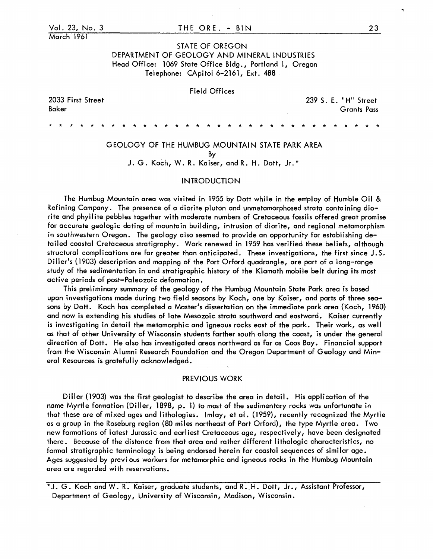March 1961

# STATE OF OREGON DEPARTMENT OF GEOLOGY AND MINERAL INDUSTRIES Head Office: 1069 State Office Bldg., Portland 1, Oregon Telephone: CApitol 6-2161, Ext. 488

# Field Offices

2033 First Street Baker

239 S. E. "H" Street Grants Pass

GEOLOGY OF THE HUMBUG MOUNTAIN STATE PARK AREA

\* \* \* \* \* \* \* \* \* \* \* \* \* \* \* \* \* \* \* \* \* \* \* \* \* \* \* \* \* \* \* \*

By

J. G. Koch, W. R. Kaiser, and R. H. Dott, Jr.\*

# INTRODUCTION

The Humbug Mountain area was visited in 1955 by Dott while in the employ of Humble Oil & Refining Company. The presence of a diorite pluton and unmetamorphosed strata containing diorite and phyllite pebbles together with moderate numbers of Cretaceous fossils offered great promise for accurate geologic dating of mountain building, intrusion of diorite, and regional metamorphism in southwestern Oregon. The geology also seemed to provide an opportunity for establishing detailed coastal Cretaceous stratigraphy. Work renewed in 1959 has verified these bel iefs, although structural complications are far greater than anticipated. These investigations, the first since J.S. Diller's (1903) description and mapping of the Port Orford quadrangle, are part of a long-range study of the sedimentation in and stratigraphic history of the Klamath mobile belt during its most active periods of post-Paleozoic deformation.

This preliminary summary of the geology of the Humbug Mountain State Park area is based upon investigations made during two field seasons by Koch, one by Kaiser, and parts of three seasons by Dott. Koch has completed a Master's dissertation on the immediate park area (Koch, 1960) and now is extending his studies of late Mesozoic strata southward and eastward. Kaiser currently is investigating in detail the metamorphic and igneous rocks east of the park. Their work, as well as that of other University of Wisconsin students farther south along the coast, is under the general direction of Dott. He also has investigated areas northward as far as Coos Bay. Financial support from the Wisconsin Alumni Research Foundation and the Oregon Department of Geology and Minerai Resources is gratefully acknowledged.

# PREVIOUS WORK

Diller (1903) was the first geologist to describe the area in detail. His application of the name Myrtle formation (Diller, 1898, p. 1) to most of the sedimentary rocks was unfortunate in that these are of mixed ages and lithologies. Imlay, et al. (1959), recently recognized the Myrtle as a group in the Roseburg region (80 miles northeast of Port Orford), the type Myrtle area. Two new formations of latest Jurassic and earliest Cretaceous age, respectively, have been designated there. Because of the distance from that area and rather different lithologic characteristics, no formal stratigraphic terminology is being endorsed herein for coastal sequences of similar age. Ages suggested by previ ous workers for metamorphic and igneous rocks in the Humbug Mountain area are regarded wi th reservations.

\* J. G. Koch and W. R. Kaiser, graduate students, and R •. H. Dott, Jr., Assistant Professor, Department of Geology, University of Wisconsin, Madison, Wisconsin.

 $- -$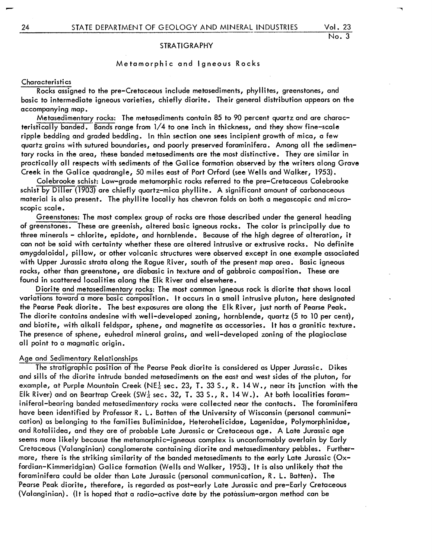# STRATIGRAPHY

# Metamorphic and Igneous Rocks

## **Characteristics**

Rocks assigned to the pre-Cretaceous include metasediments, phyllites, greenstones, and basic to intermediate igneous varieties, chiefly diorite. Their general distribution appears on the accompanying map.

Metasedimentary rocks: The metasediments contain 85 to 90 percent quartz and are characteristically banded. Bands range from 1/4 to one inch in thickness, and they show fine-scale ripple bedding and graded bedding. In thin section one sees incipient growth of mica, a few quartz grains with sutured boundaries, and poorly preserved foraminifera. Among all the sedimentary rocks in the area, these banded metasediments are the most distinctive. They are similar in practically all respects with sediments of the Galice formation observed by the writers along Grave Creek in the Galice quadrangle, 50 miles east of Port Orford (see Wells and Walker, 1953).

Colebrooke schist: Low-grade metamorphic rocks referred to the pre-Cretaceous Colebrooke schist by Diller (1903) are chiefly quartz-mica phyllite. A significant amount of carbonaceous material is also present. The phyllite locally has chevron folds on both a megascopic and microscopic scale.

Greenstones: The most complex group of rocks are those described under the general heading of greenstones. These are greenish, altered basic igneous rocks. The color is principally due to three minerals - chlorite, epidote, and hornblende. Because of the high degree of alteration, it can not be said with certainty whether these are altered intrusive or extrusive rocks. No definite amygdaloidal, pillow, or other volcanic structures were observed except in one example associated with Upper Jurassic strata along the Rogue River, south of the present map area. Basic igneous rocks, other thdn greenstone, are diabasic in texture and of gabbroic composition. These are found in scattered localities along the Elk River and elsewhere.

Diorite and metasedimentary rocks: The most common igneous rock is diorite that shows local variations toward a more basic composition. I t occurs in a small intrusive pluton, here designated the Pearse Peak diorite. The best exposures are along the Elk River, just north of Pearse Peak. The diorite contains andesine with well-developed zoning, hornblende, quartz (5 to 10 per cent), and biotite, with alkali feldspar, sphene, and magnetite as accessories. It has a granitic texture. The presence of sphene, euhedral mineral grains, and well-developed zoning of the plagioclase all point to a magmatic origin.

# Age and Sedimentary Relationships

The stratigraphic position of the Pearse Peak diorite is considered as Upper Jurassic. Dikes and sills of the diorite intrude banded metasediments on the east and west sides of the pluton, for example, at Purple Mountain Creek (NE<sup> $1$ </sup> sec. 23, T. 33 S., R. 14 W., near its junction with the Elk River) and on Beartrap Creek (SW $\frac{1}{4}$  sec. 32, T. 33 S., R. 14 W.). At both localities foraminiferal-bearing banded metasedimentary rocks were collected near the contacts. The foraminifera have been identified by Professor R. L. Batten of the University of Wisconsin (personal communication) as belonging to the families Buliminidae, Heterohelicidae, Lagenidae, Polymorphinidae, and Rotaliidea, and they are of probable Late Jurassic or Cretaceous age. A Late Jurassic age seems more likely because the metamorphic-igneous complex is unconformably overlain by Early Cretaceous (Valanginian) conglomerate containing diorite and metasedimentary pebbles. Furthermore, there is the striking similarity of the banded metasediments to the early Late Jurassic (Oxfordian-Kimmeridgian) Galice formation (Wells and Walker, 1953). It is also unlikely that the foraminifera could be older than Late Jurassic (personal communication, R. L. Batten). The 'Pearse Peak diorite, therefore, is regarded as post-early Late Jurassic and pre-Early Cretaceous (Valanginian). (It is hoped that a radio-active date by the potassium-argon method can be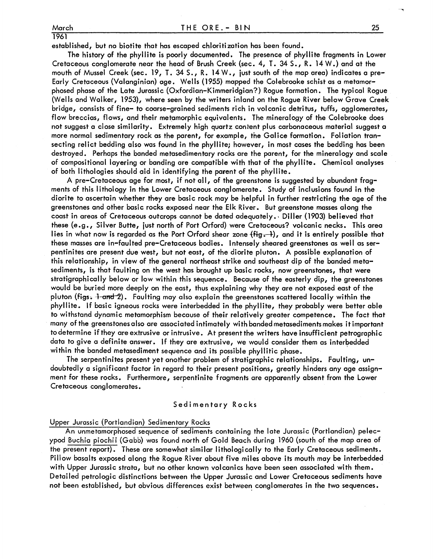1961

established, but no biotite that has escaped chloritization has been found.

The history of the phyllite is poorly documented. The presence of phyllite fragments in Lower Cretaceous conglomerate near the head of Brush Creek (sec. 4, 1. 34 S., R. 14 W.) and at the mouth of Mussel Creek (sec. 19, T. 34 S., R. 14 W., just south of the map area) indicates a pre-Early Cretaceous (Valanginian) age. Wells (1955) mapped the Colebrooke schist as a metamorphosed phase of the Late Jurassic (Oxfordian-Kimmeridgian?) Rogue formation. The typical Rogue (Wells and Walker, 1953), where seen by the writers inland on the Roque River below Grave Creek bridge, consists of fine- to coarse-grained sediments rich in volcanic detritus, tuffs, agglomerates, flow breccias, flows, and their metamorphic equivalents. The mineralogy of the Colebrooke does not suggest a close similarity. Extremely high quartz content plus carbonaceous material suggest a more normal sedimentary rock as the parent, for example, the Galice formation. Foliation transecting relict bedding also was found in the phyllite; however, in most cases the bedding has been destroyed. Perhaps the banded metasedimentary rocks are the parent, for the mineralogy and scale of compositional layering or banding are compatible with that of the phyllite. Chemical analyses of both lithologies should aid in identifying the parent of the phyllite.

A pre-Cretaceous age for most, if not all, of the greenstone is suggested by abundant fragments of this lithology in the Lower Cretaceous conglomerate. Study of inclusions found in the diorite to ascertain whether they are basic rock may be helpful in further restricting the age of the greenstones and other basic rocks exposed near the Elk River. But greenstone masses along the coast in areas of Cretaceous outcrops cannot be dated adequately., Diller (1903) believed that these (e.g., Silver Butte, just north of Port Orford) were Cretaceous? volcanic necks. This area lies in what now is regarded as the Port Orford shear zone  $\{\mathsf{fig},\mathsf{-1}\}$ , and it is entirely possible that these masses are in-faulted pre-Cretaceous bodies. Intensely sheared greenstones as well as serpentinites are present due west, but not east, of the diorite pluton. A possible explanation of this relationship, in view of the general northeast strike and southeast dip of the banded metasediments, is that faulting on the west has brought up basic rocks, now greenstones, that were stratigraphically below or low within this sequence. Because of the easterly dip, the greenstones would be buried more deeply on the east, thus explaining why they are not exposed east of the pluton (figs.  $\frac{1}{1}$ -a<del>nd</del>-2). Faulting may also explain the greenstones scattered locally within the phyllite. If basic igneous rocks were interbedded in the phyllite, they probably were better able to withstand dynamic metamorphism because of their relatively greater competence. The fact that many of the greenstones also are associated intimately with banded metasediments makes it important to determine if they are extrusive or intrusive. At present the writers have insufficient petrographic data to give a definite answer. If they are extrusive, we would consider them as interbedded within the banded metasediment sequence and its possible phyllitic phase.

The serpentinites present yet another problem of stratigraphic relationships. Faulting, undoubtedlya significant factor in regard to their present positions, greatly hinders any age assignment for these rocks. Furthermore, serpentinite fragments are apparently absent from the Lower Cretaceous conglomerates.

#### Sedimentary Rocks

## Upper Jurassic (Portlandian) Sedimentary Rocks

An unmetamorphosed sequence of sediments containing the late Jurassic (Portlandian) pelecypod Buchia piochii (Gabb) was found north of Gold Beach during 1960 (south of the map area of the present report). These are somewhat similar lithologically to the Early Cretaceous sediments. Pillow basalts exposed along the Rogue River about five miles above its mouth may be interbedded with Upper Jurassic strata, but no other known volcanics have been seen associated with them. Detailed petrologic distinctions between the Upper Jurassic and Lower Cretaceous sediments have not been established, but obvious differences exist between conglomerates in the two sequences.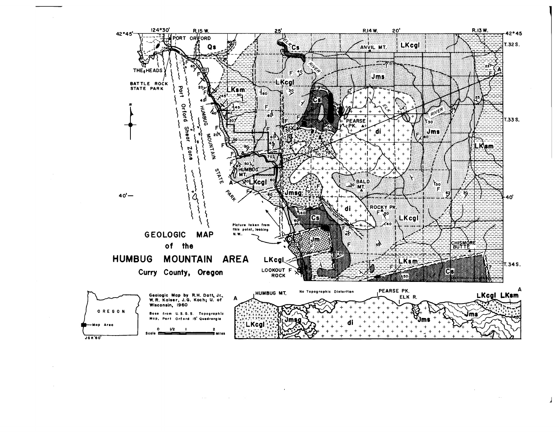

 $\sim 1000$   $\mu$  $\sim 10^{-1}$ 

J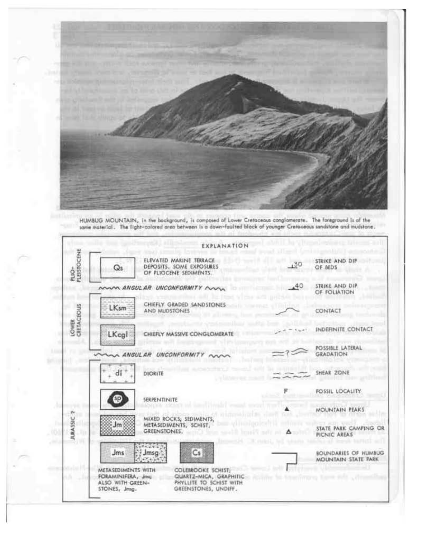

HUMBUG MOUNTAIN, In the background, is composed of Lower Cretaceous conglomerate. The foreground is of the some material. The light-colored area between is a down-faulted block of younger Cretoceous sandstone and mudstone.



I

r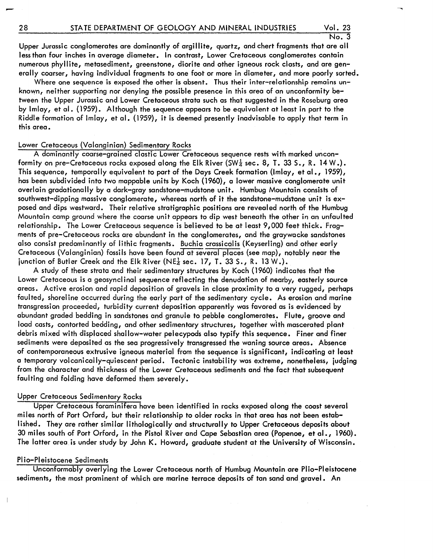Upper Jurassic conglomerates are dominantly of argillite, quartz, and chert fragments that are all less than four inches in average diameter. In contrast, Lower Cretaceous conglomerates contain numerous phyllite, metasediment, greenstone, diorite and other igneous rock clasts, and are generally coarser, having individual fragments to one foot or more in diameter, and more poorly sorted.

Where one sequence is exposed the other is absent. Thus their inter-relationship remains unknown, neither supporting nor denying the possible presence in this area of an unconformity between the Upper Jurassic and Lower Cretaceous strata such as that suggested in the Roseburg area by Imlay, et al. (1959). Although the sequence appears to be equivalent at least in part to the Riddle formation of Imlay, et al. (1959), it is deemed presently inadvisable to apply that term in this area.

# Lower Cretaceous (Valanginian) Sedimentary Rocks

A dominantly coarse-grained clastic Lower Cretaceous sequence rests with marked unconformity on pre-Cretaceous rocks exposed along the Elk River (SW $\frac{1}{4}$  sec. 8, T. 33 S., R. 14 W.). This sequence, temporally equivalent to part of the Days Creek formation (Imlay, et al., 1959), has been subdivided into two mappable units by Koch (1960), a lower massive conglomerate unit overlain gradationally by a dark-gray sandstone-mudstone unit. Humbug Mountain consists of southwest-dipping massive conglomerate, whereas north of it the sandstone-mudstone unit is exposed and dips westward. Their relative stratigraphic positions are revealed north of the Humbug Mountain camp ground where the coarse unit appears to dip west beneath the other in an unfaulted relationship. The Lower Cretaceous sequence is believed to be at least 9,000 feet thick. Fragments of pre-Cretaceous rocks are abundant in the conglomerates, and the graywacke sandstones also consist predominantly of lithic fragments. Buchia crassicqlis (Keyserling) and other early Cretaceous (Valanginian) fossils have been found at several places (see map), nqtably near the junction of Butler Creek and the Elk River (NE $\frac{1}{4}$  sec. 17, T. 33 S., R. 13 W.).

A study of these strata and their sedimentary structures by Koch (1960) indicates that the Lower Cretaceous is a geosyncl inal sequence reflecting the denudation of nearby, easterly source areas. Active erosion and rapid deposition of gravels in close proximity to a very rugged, perhaps faulted, shoreline occurred during the early part of the sedimentary cycle. As erosion and marine transgression proceeded, turbidity current deposition apparently was favored as is evidenced by abundant graded bedding in sandstones and granule to pebble conglomerates. Flute, groove and load casts, contorted bedding, and other sedimentary structures, together with mascerated plant debris mixed with displaced shallow-water pelecypods also typify this sequence. Finer and finer sediments were deposited as the sea progressively transgressed the waning source areas. Absence of contemporaneous extrusive igneous material from the sequence is significant, indicating at least a temporary volcanically-quiescent period. Tectonic instability was extreme, nonetheless, judging from the character and thickness of the Lower Cretaceous sediments and the fact that subsequent faulting and folding have deformed them severely.

# Upper Cretaceous Sedimentary Rocks

Upper Cretaceous foraminifera have been identified in rocks exposed along the coast several miles north of Port Orford, but their relationship to older rocks in that area has not been established. They are rather similar lithologically and structurally to Upper Cretaceous deposits about 30 miles south of Port Orford, in the Pistol River and Cape Sebastian area (Popenoe, et al., 1960). The latter area is under study by John K. Howard, graduate student at the University of Wisconsin.

# Plio-Pleistocene Sediments

Unconformably overlying the Lower Cretaceous north of Humbug Mountain are Plio-Pleistocene sediments, the most prominent of which are marine terrace deposits of tan sand and gravel. An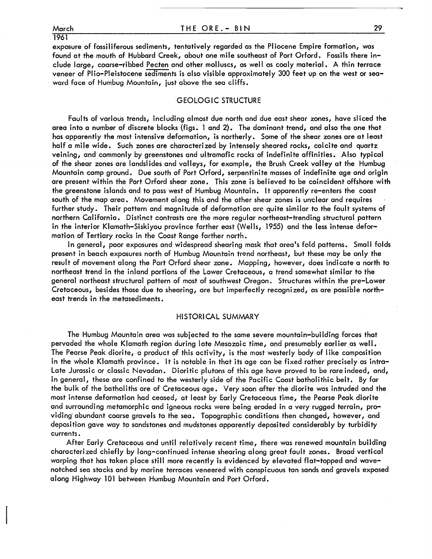March 1961

exposure of fossiliferous sediments, tentatively regarded as the Pliocene Empire formation, was found at the mouth of Hubbard Creek, about one mile southeast of Port Orford. Fossils there include large, coarse-ribbed Pecten and other molluscs, as well as coaly material. A thin terrace veneer of Plio-Pleistocene sediments is also visible approximately 300 feet up on the west or seaward face of Humbug Mountain, just above the sea cliffs.

# GEOLOGIC STRUCTURE

Faults of various trends, including almost due north and due east shear zones, have sliced the area into a number of discrete blocks (figs. 1 and 2). The dominant trend, and also the one that has apparently the most intensive deformation, is northerly. Some of the shear zones are at least half a mile wide. Such zones are characterized by intensely sheared rocks, calcite and quartz veining, and commonly by greenstones and ultramafic rocks of indefinite affinities. Also typical of the shear zones are landsl ides and valleys, for example, the Brush Creek valley at the Humbug Mountain camp ground. Due south of Port Orford, serpentinite masses of indefinite age and origin are present within the Port Orford shear zone. This zone is believed to be coincident offshore with the greenstone islands and to pass west of Humbug Mountain. I t apparently re-enters the coast south of the map area. Movement along this and the other shear zones is unclear and requires further study. Their pattern and magnitude of deformation arc quite similar to the fault systems of northern Cal ifornia. Distinct contrasts are the more regular northeast-trending structural pattern in the interior Klamath-Siskiyou province farther east (Wells, 1955) and the less intense deformation of Tertiary rocks in the Coast Range farther north.

In general, poor exposures and widespread shearing mask that area's fold patterns. Small folds present in beach exposures north of Humbug Mountain trend northeast, but these may be only the result of movement along the Port Orford shear zone. Mapping, however, does indicate a north to northeast trend in the inland portions of the Lower Cretaceous, a trend somewhat similar to the general northeast structural pattern of most of southwest Oregon. Structures within the pre-Lower Cretaceous, besides those due to shearing, are but imperfectly recognized, as are possible northeast trends in the metasediments.

# HISTORICAL SUMMARY

The Humbug Mountain area was subjected to the same severe mountain-building forces that pervaded the whole Klamath region during late Mesozoic time, and presumably earlier as well. The Pearse Peak diorite, a product of this activity, is the most westerly body of I ike composition in the whole Klamath province. I t is notable in that its age can be fixed rather precisely as intra-Late Jurassic or classic Nevadan. Dioritic plutons of this age have proved to be rare indeed, and, in general, these are confined to the westerly side of the Pacific Coast batholithic belt. By far the bulk of the batholiths are of Cretaceous age. Very soon after the diorite was intruded and the most intense deformation had ceased, at least by Early Cretaceous time, the Pearse Peak diorite and surrounding metamorphic and igneous rocks were being eroded in a very rugged terrain, providing' abundant coarse gravels to the sea. Topographic conditions then changed, however, and deposition gave way to sandstones and mudstones apparently deposited considerably by turbidity currents.

After Early Cretaceous and until relatively recent time, there was renewed mountain building characterized chiefly by long-continued intense shearing along great fault zones. Broad vertical warping that has taken place still more recently is evidenced by elevated flat-topped and wavenotched sea stacks and by marine terraces veneered with conspicuous tan sands and gravels exposed along Highway 101 between Humbug Mountain and Port Orford.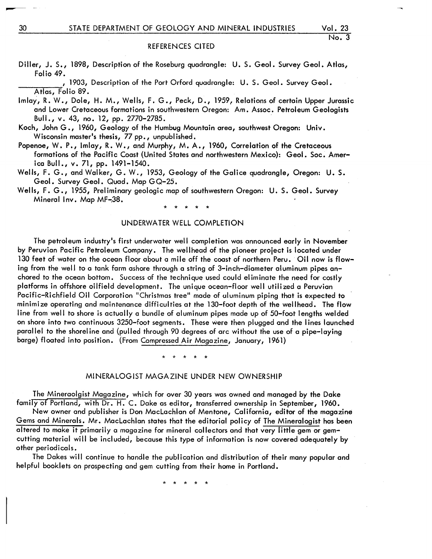Diller, J. S., 1898, Description of the Roseburg quadrangle: U. S. Geol. Survey Geol. Atlas, Folio 49.

, 1903, Description of the Port Orford quadrangle: U. S. Geol. Survey Geol. Atlas, Folio 89.

- Imlay, R. W., Dole, H. M., Wells, F. G., Peck, D., 1959, Relations of certain Upper Jurassic and Lower Cretaceous formations in southwestern Oregon: Am. Assoc. Petroleum Geologists Bull., v. 43, no. 12, pp. 2770-2785. -
- Koch, John G., 1960, Geology of the Humbug Mountain area, southwest Oregon: Univ. Wisconsin master's thesis, 77 pp., unpublished.
- Popenoe, W. P., Imlay, R. W., and Murphy, M. A., 1960, Correlation of the Cretaceous formations of the Pacific Coast {United States and northwestern Mexico}: Geol. Soc. America Bull., v. 71, pp. 1491-1540.
- Wells, F. G., and Walker, G. W., 1953, Geology of the Galice quadrangle, Oregon: U. S. Geol. Survey Geol. Quad. Map GQ-25.
- Wells, F. G., 1955, Preliminary geologic map of southwestern Oregon: U. S. Geol. Survey Mineral Inv. Map MF~38.

# \* \* \* \* \*

# UNDERWATER WELL COMPLETION

The petroleum industry's first underwater well completion was announced early in November by Peruvian Pacific Petroleum Company. The wellhead of the pioneer project is located under 130 feet of water on the ocean floor about a mile off the coast of northern Peru. Oil now is flowing from the well to a tank farm ashore through a string of 3-inch-diameter aluminum pipes anchored to the ocean bottom. Success of the technique used could eliminate the need for costly platforms in offshore oilfield development. The unique ocean-floor well utili zed a Peruvian Pacific-Richfield Oil Corporation "Christmas tree" made of uluminum piping that is expected to minimize operating and maintenance difficulties at the 130-foot depth of the wellhead. The flow I ine from well to shore is actually a bundle of aluminum pipes made up of 50-foot lengths welded on shore into two continuous 3250-foot segments. These were then plugged and the I ines launched parallel to the shorel ine and {pulled through 90 degrees of arc without the use of a pipe-laying barge} floated into position. {From Compressed Air Magazine, January, 1961}

\* \* \* \* \*

### MINERALOGIST MAGAZINE UNDER NEW OWNERSHIP

The Mineraolgist Magazine, which for over 30 years was owned and managed by the Dake family ot Portland, with Dr. H. C. Dake as editor, transferred ownership in September, 1960.

New owner and publisher is Don Maclachlan of Mentone, California, editor of the magazine Gems and Minerals. Mr. Maclachlan states that the editorial policy of The Mineralogist has been altered to make it primarily a magazine for mineral collectors and that very little gem or gemcutting material will be included, because this type of information is now covered adequately by other periodicals.

The Dakes will continue to handle the publication and distribution of their many popular and helpful booklets on prospecting and gem cutting from their home in Portland.

\* \* \* \* \*

 $-$  -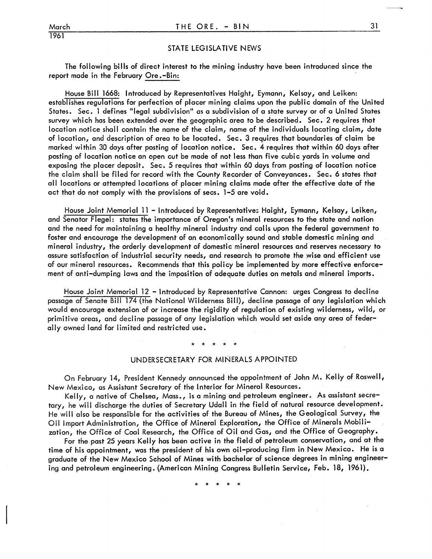1961

# STATE LEGISLATIVE NEWS

The following bills of direct interest to the mining industry have been introduced since the report made in the February Ore .-Bin:

House Bill 1668: Introduced by Representatives Haight, Eymann, Kelsay, and Leiken: establishes regulations for perfection of placer mining claims upon the public domain of the United States. Sec. 1 defines "legal subdivision" as a subdivision of a state surveyor of a United States survey which has been extended over the geographic area to be described. Sec. 2 requires that location notice shall contain the name of the claim, name of the individuals locating claim, date of location, and description of area to be located. Sec. 3 requires that boundaries of claim be marked within 30 days after posting of location notice. Sec. 4 requires that within 60 days after posting of location notice an open cut be made of not less than five cubic yards in volume and exposing the placer deposit. Sec. 5 requires that within 60 days from posting of location notice the claim shall be filed for record with the County Recorder of Conveyances. Sec. 6 states that all locations or attempted locations of placer mining claims made after the effective date of the act that do not comply with the provisions of secs. 1-5 are void.

House Joint Memorial 11 - Introduced by Representativez Haight, Eymann, Kelsay, Leiken, and Senator Flegel: states the importance of Oregon's mineral resources to the state and nation and the need for maintaining a healthy mineral industry and calls upon the federal government to foster and encourage the development of an economically sound and stable domestic mining and mineral industry, the orderly development of domestic mineral resources and reserves necessary to assure satisfaction of industrial security needs, and research to promote the wise and efficient use of our mineral resources. Recommends that this policy be implemented by more effective enforcement of anti-dumping laws and the imposition of adequate duties on metals and mineral imports.

House Joint Memorial 12 - Introduced by Representative Cannon: urges Congress to decline passage of Senate Bill 174 (the National Wilderness Bill), decline passage of any legislation which would encourage extension of or increase the rigidity of regulation of existing wilderness, wild, or primitive areas, and decline passage of any legislation which would set aside any area of feder– ally owned land for limited and restricted use.

## \* \* \* \* \*

# UNDERSECRETARY FOR MINERALS APPOINTED

On February 14, President Kennedy announced the appointment of John M. Kelly of Roswell, New Mexico, as Assistant Secretary of the Interior for Mineral Resources.

Kelly, a native of Chelsea, Mass., is a mining and petroleum engineer. As assistant secretary, he will discharge the duties of Secretary Udall in the field of natural resource development. He will also be responsible for the activities of the Bureau of Mines, the Geological Survey, the Oil Import Administration, the Office of Mineral Exploration, the Office of Minerals Mobilization, the Office of Coal Research, the Office of Oil and Gas, and the Office of Geography.

For the past 25 years Kelly has been active in the field of petroleum conservation, and at the time of his appointment, was the president of his own oil-producing firm in New Mexico. He is a graduate of the New Mexico School of Mines with bachelor of science degrees in mining engineering and petroleum engineering. (American Mining Congress Bulletin Service, Feb. 18, 1961).

\* \* \* \* \*